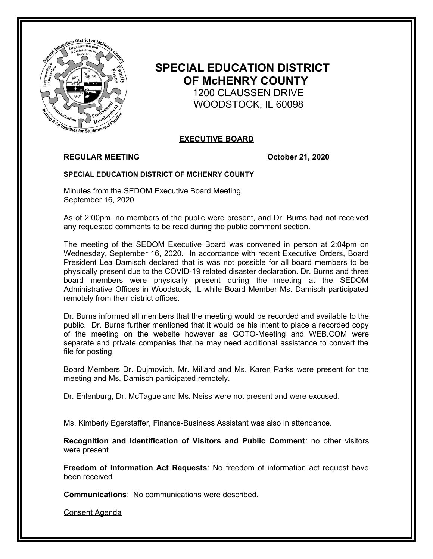

# **SPECIAL EDUCATION DISTRICT OF McHENRY COUNTY** 1200 CLAUSSEN DRIVE WOODSTOCK, IL 60098

# **EXECUTIVE BOARD**

# **REGULAR MEETING October 21, 2020**

### **SPECIAL EDUCATION DISTRICT OF MCHENRY COUNTY**

Minutes from the SEDOM Executive Board Meeting September 16, 2020

As of 2:00pm, no members of the public were present, and Dr. Burns had not received any requested comments to be read during the public comment section.

The meeting of the SEDOM Executive Board was convened in person at 2:04pm on Wednesday, September 16, 2020. In accordance with recent Executive Orders, Board President Lea Damisch declared that is was not possible for all board members to be physically present due to the COVID-19 related disaster declaration. Dr. Burns and three board members were physically present during the meeting at the SEDOM Administrative Offices in Woodstock, IL while Board Member Ms. Damisch participated remotely from their district offices.

Dr. Burns informed all members that the meeting would be recorded and available to the public. Dr. Burns further mentioned that it would be his intent to place a recorded copy of the meeting on the website however as GOTO-Meeting and WEB.COM were separate and private companies that he may need additional assistance to convert the file for posting.

Board Members Dr. Dujmovich, Mr. Millard and Ms. Karen Parks were present for the meeting and Ms. Damisch participated remotely.

Dr. Ehlenburg, Dr. McTague and Ms. Neiss were not present and were excused.

Ms. Kimberly Egerstaffer, Finance-Business Assistant was also in attendance.

**Recognition and Identification of Visitors and Public Comment**: no other visitors were present

**Freedom of Information Act Requests**: No freedom of information act request have been received

**Communications**: No communications were described.

Consent Agenda